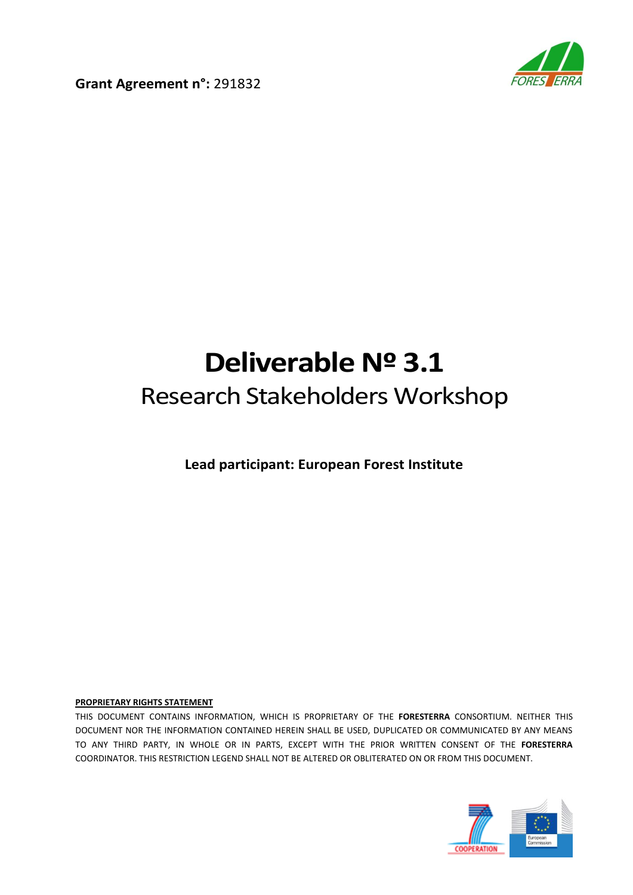

**Grant Agreement n°:** 291832

# **Deliverable Nº 3.1** Research Stakeholders Workshop

**Lead participant: European Forest Institute**

#### **PROPRIETARY RIGHTS STATEMENT**

THIS DOCUMENT CONTAINS INFORMATION, WHICH IS PROPRIETARY OF THE **FORESTERRA** CONSORTIUM. NEITHER THIS DOCUMENT NOR THE INFORMATION CONTAINED HEREIN SHALL BE USED, DUPLICATED OR COMMUNICATED BY ANY MEANS TO ANY THIRD PARTY, IN WHOLE OR IN PARTS, EXCEPT WITH THE PRIOR WRITTEN CONSENT OF THE **FORESTERRA** COORDINATOR. THIS RESTRICTION LEGEND SHALL NOT BE ALTERED OR OBLITERATED ON OR FROM THIS DOCUMENT.

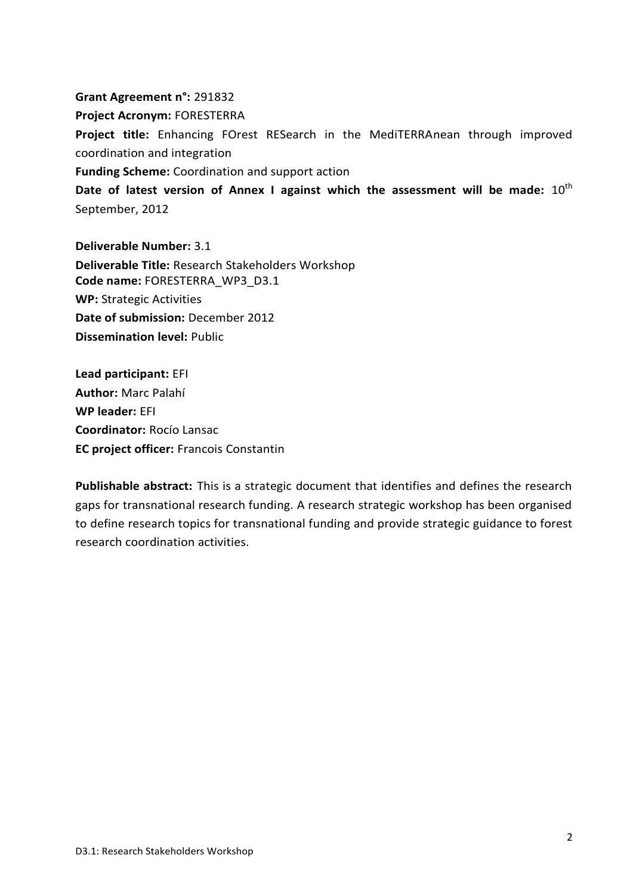#### **Grant Agreement n°:** 291832

**Project Acronym:** FORESTERRA

**Project title:** Enhancing FOrest RESearch in the MediTERRAnean through improved coordination and integration

**Funding Scheme:** Coordination and support action

Date of latest version of Annex I against which the assessment will be made:  $10^{th}$ September, 2012

**Deliverable Number:** 3.1 **Deliverable Title:** Research Stakeholders Workshop **Code name:** FORESTERRA\_WP3\_D3.1 **WP:** Strategic Activities **Date of submission:** December 2012 **Dissemination level:** Public

**Lead participant:** EFI **Author:** Marc Palahí **WP leader:** EFI **Coordinator:** Rocío Lansac **EC project officer:** Francois Constantin

**Publishable abstract:** This is a strategic document that identifies and defines the research gaps for transnational research funding. A research strategic workshop has been organised to define research topics for transnational funding and provide strategic guidance to forest research coordination activities.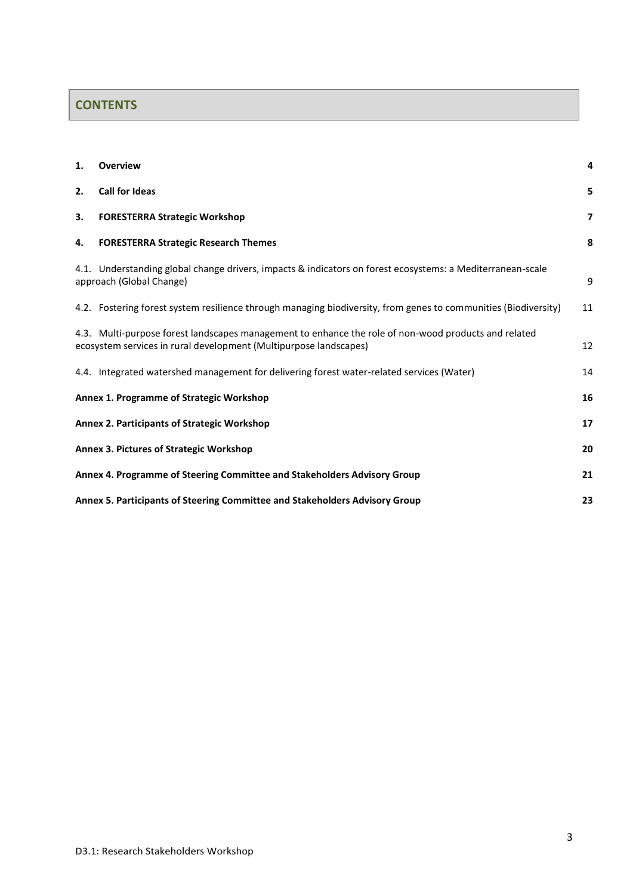## **CONTENTS**

| 1. | <b>Overview</b>                                                                                                                                                           | 4  |  |
|----|---------------------------------------------------------------------------------------------------------------------------------------------------------------------------|----|--|
| 2. | <b>Call for Ideas</b>                                                                                                                                                     | 5  |  |
| 3. | <b>FORESTERRA Strategic Workshop</b>                                                                                                                                      | 7  |  |
| 4. | <b>FORESTERRA Strategic Research Themes</b>                                                                                                                               | 8  |  |
|    | 4.1. Understanding global change drivers, impacts & indicators on forest ecosystems: a Mediterranean-scale<br>approach (Global Change)                                    | 9  |  |
|    | 4.2. Fostering forest system resilience through managing biodiversity, from genes to communities (Biodiversity)                                                           | 11 |  |
|    | 4.3. Multi-purpose forest landscapes management to enhance the role of non-wood products and related<br>ecosystem services in rural development (Multipurpose landscapes) | 12 |  |
|    | 4.4. Integrated watershed management for delivering forest water-related services (Water)                                                                                 | 14 |  |
|    | Annex 1. Programme of Strategic Workshop                                                                                                                                  | 16 |  |
|    | <b>Annex 2. Participants of Strategic Workshop</b>                                                                                                                        | 17 |  |
|    | Annex 3. Pictures of Strategic Workshop<br>20                                                                                                                             |    |  |
|    | Annex 4. Programme of Steering Committee and Stakeholders Advisory Group<br>21                                                                                            |    |  |
|    | Annex 5. Participants of Steering Committee and Stakeholders Advisory Group                                                                                               | 23 |  |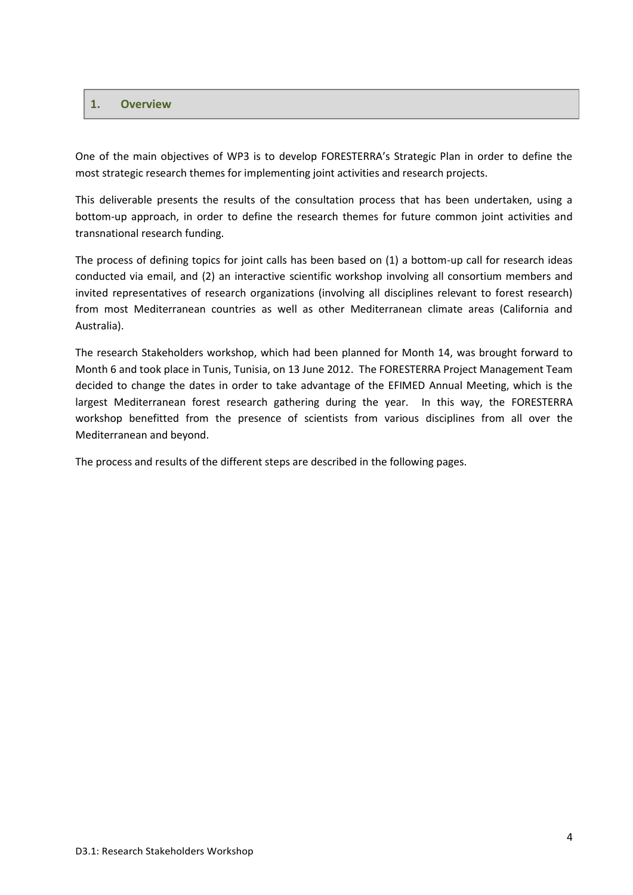#### <span id="page-3-0"></span>**1. Overview**

One of the main objectives of WP3 is to develop FORESTERRA's Strategic Plan in order to define the most strategic research themes for implementing joint activities and research projects.

This deliverable presents the results of the consultation process that has been undertaken, using a bottom-up approach, in order to define the research themes for future common joint activities and transnational research funding.

The process of defining topics for joint calls has been based on (1) a bottom-up call for research ideas conducted via email, and (2) an interactive scientific workshop involving all consortium members and invited representatives of research organizations (involving all disciplines relevant to forest research) from most Mediterranean countries as well as other Mediterranean climate areas (California and Australia).

The research Stakeholders workshop, which had been planned for Month 14, was brought forward to Month 6 and took place in Tunis, Tunisia, on 13 June 2012. The FORESTERRA Project Management Team decided to change the dates in order to take advantage of the EFIMED Annual Meeting, which is the largest Mediterranean forest research gathering during the year. In this way, the FORESTERRA workshop benefitted from the presence of scientists from various disciplines from all over the Mediterranean and beyond.

The process and results of the different steps are described in the following pages.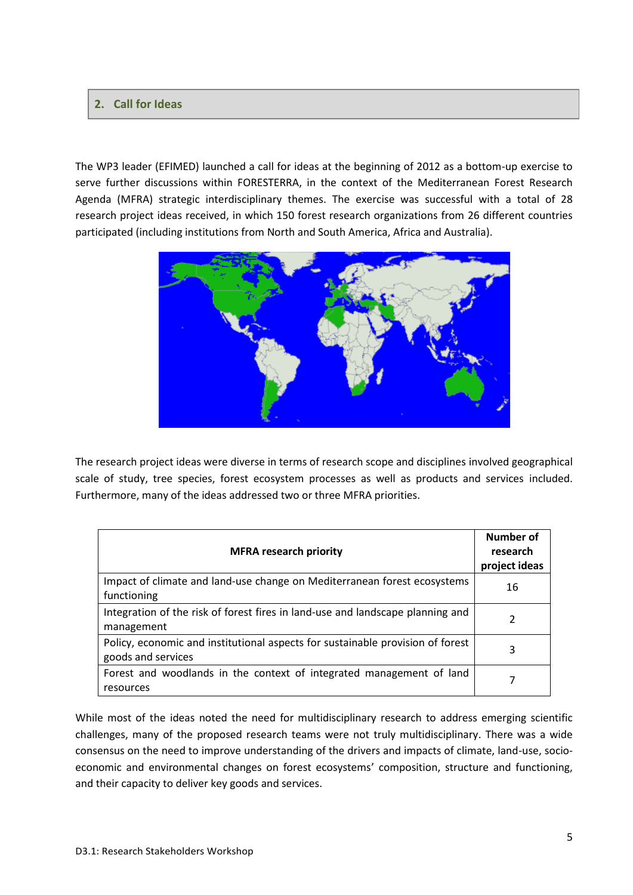#### <span id="page-4-0"></span>**2. Call for Ideas**

The WP3 leader (EFIMED) launched a [call for ideas](http://www.efimed.efi.int/portal/news/?bid=373) at the beginning of 2012 as a bottom-up exercise to serve further discussions within FORESTERRA, in the context of the Mediterranean Forest Research Agenda (MFRA) strategic interdisciplinary themes. The exercise was successful with a total of 28 research project ideas received, in which 150 forest research organizations from 26 different countries participated (including institutions from North and South America, Africa and Australia).



The research project ideas were diverse in terms of research scope and disciplines involved geographical scale of study, tree species, forest ecosystem processes as well as products and services included. Furthermore, many of the ideas addressed two or three [MFRA](http://www.efimed.efi.int/portal/research/mfra/) priorities.

| <b>MFRA research priority</b>                                                                        | Number of<br>research<br>project ideas |
|------------------------------------------------------------------------------------------------------|----------------------------------------|
| Impact of climate and land-use change on Mediterranean forest ecosystems<br>functioning              | 16                                     |
| Integration of the risk of forest fires in land-use and landscape planning and<br>management         | 2                                      |
| Policy, economic and institutional aspects for sustainable provision of forest<br>goods and services | 3                                      |
| Forest and woodlands in the context of integrated management of land<br>resources                    |                                        |

While most of the ideas noted the need for multidisciplinary research to address emerging scientific challenges, many of the proposed research teams were not truly multidisciplinary. There was a wide consensus on the need to improve understanding of the drivers and impacts of climate, land-use, socioeconomic and environmental changes on forest ecosystems' composition, structure and functioning, and their capacity to deliver key goods and services.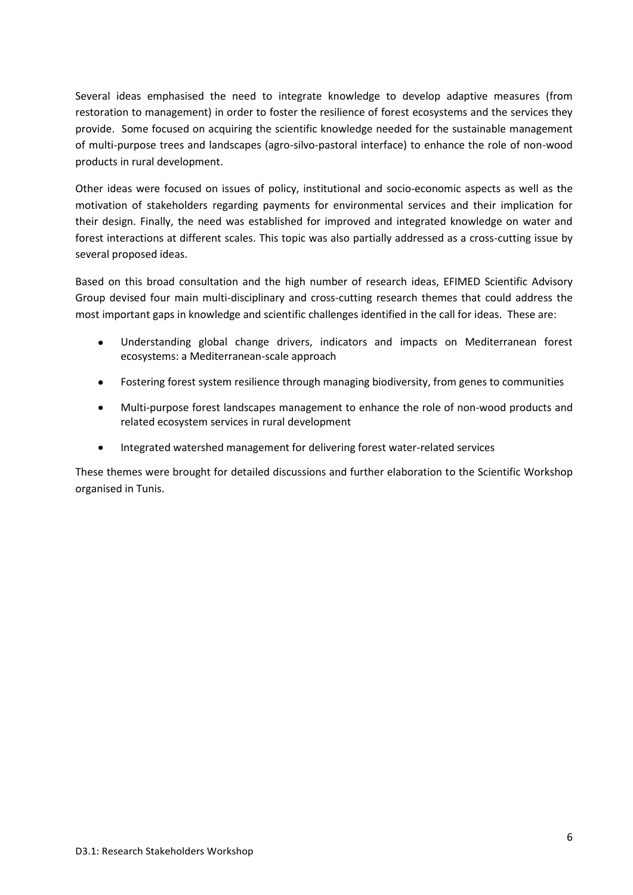Several ideas emphasised the need to integrate knowledge to develop adaptive measures (from restoration to management) in order to foster the resilience of forest ecosystems and the services they provide. Some focused on acquiring the scientific knowledge needed for the sustainable management of multi-purpose trees and landscapes (agro-silvo-pastoral interface) to enhance the role of non-wood products in rural development.

Other ideas were focused on issues of policy, institutional and socio-economic aspects as well as the motivation of stakeholders regarding payments for environmental services and their implication for their design. Finally, the need was established for improved and integrated knowledge on water and forest interactions at different scales. This topic was also partially addressed as a cross-cutting issue by several proposed ideas.

Based on this broad consultation and the high number of research ideas, EFIMED Scientific Advisory Group devised four main multi-disciplinary and cross-cutting research themes that could address the most important gaps in knowledge and scientific challenges identified in the call for ideas. These are:

- Understanding global change drivers, indicators and impacts on Mediterranean forest ecosystems: a Mediterranean-scale approach
- Fostering forest system resilience through managing biodiversity, from genes to communities
- Multi-purpose forest landscapes management to enhance the role of non-wood products and related ecosystem services in rural development
- Integrated watershed management for delivering forest water-related services

These themes were brought for detailed discussions and further elaboration to the Scientific Workshop organised in Tunis.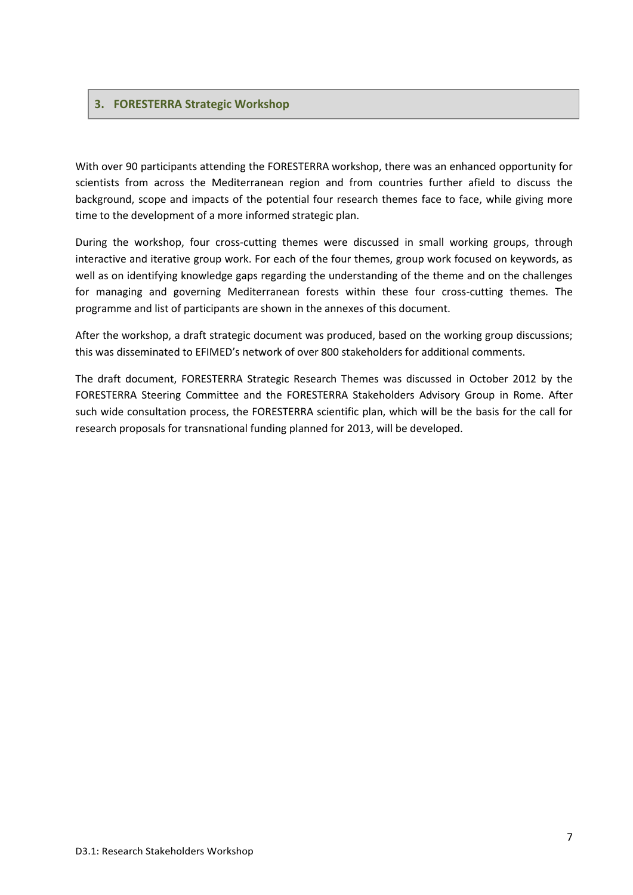#### <span id="page-6-0"></span>**3. FORESTERRA Strategic Workshop**

With over 90 participants attending the FORESTERRA workshop, there was an enhanced opportunity for scientists from across the Mediterranean region and from countries further afield to discuss the background, scope and impacts of the potential four research themes face to face, while giving more time to the development of a more informed strategic plan.

During the workshop, four cross-cutting themes were discussed in small working groups, through interactive and iterative group work. For each of the four themes, group work focused on keywords, as well as on identifying knowledge gaps regarding the understanding of the theme and on the challenges for managing and governing Mediterranean forests within these four cross-cutting themes. The programme and list of participants are shown in the annexes of this document.

After the workshop, a draft strategic document was produced, based on the working group discussions; this was disseminated to EFIMED's network of over 800 stakeholders for additional comments.

The draft document, FORESTERRA Strategic Research Themes was discussed in October 2012 by the FORESTERRA Steering Committee and the FORESTERRA Stakeholders Advisory Group in Rome. After such wide consultation process, the FORESTERRA scientific plan, which will be the basis for the call for research proposals for transnational funding planned for 2013, will be developed.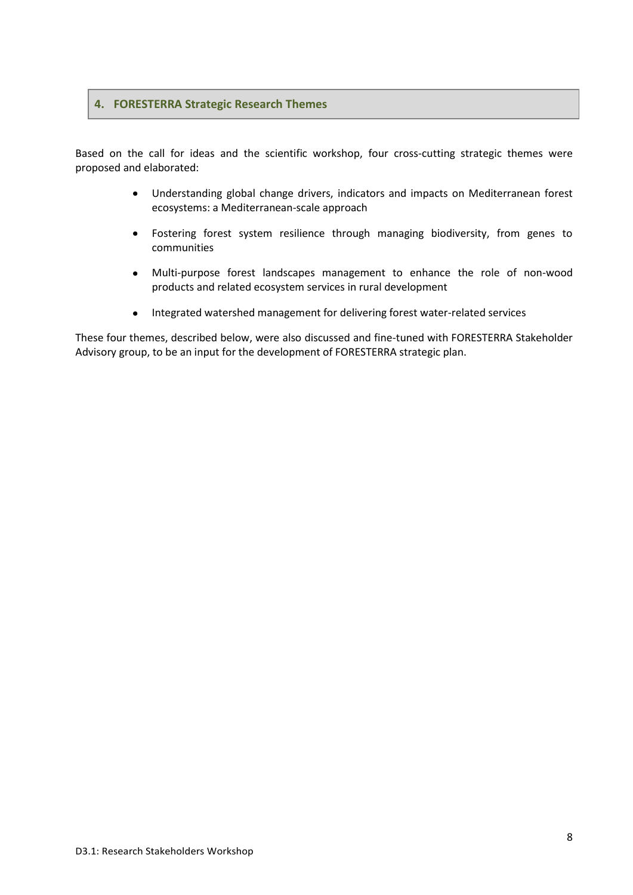#### <span id="page-7-0"></span>**4. FORESTERRA Strategic Research Themes**

Based on the call for ideas and the scientific workshop, four cross-cutting strategic themes were proposed and elaborated:

- Understanding global change drivers, indicators and impacts on Mediterranean forest ecosystems: a Mediterranean-scale approach
- Fostering forest system resilience through managing biodiversity, from genes to communities
- Multi-purpose forest landscapes management to enhance the role of non-wood products and related ecosystem services in rural development
- Integrated watershed management for delivering forest water-related services  $\bullet$

These four themes, described below, were also discussed and fine-tuned with FORESTERRA Stakeholder Advisory group, to be an input for the development of FORESTERRA strategic plan.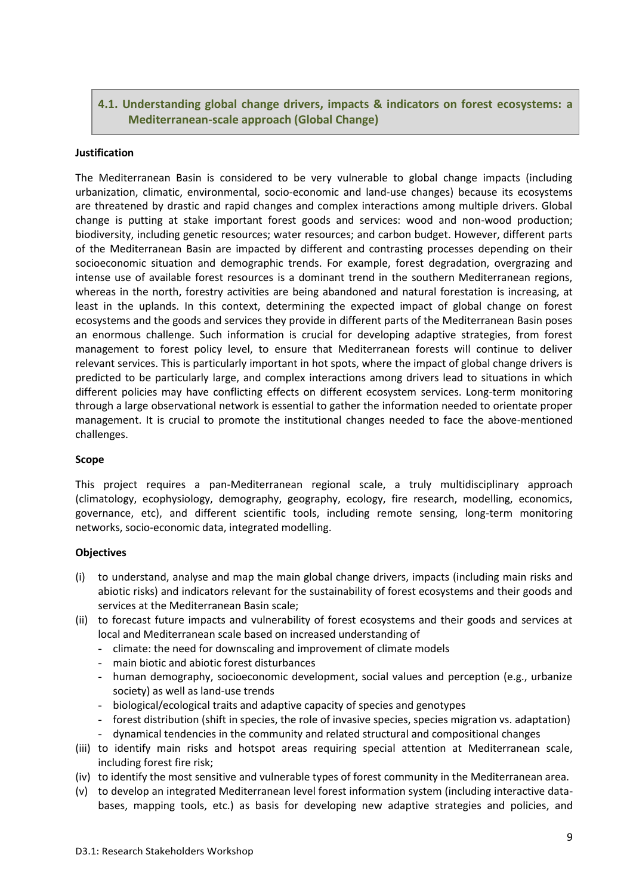## <span id="page-8-0"></span>**4.1. Understanding global change drivers, impacts & indicators on forest ecosystems: a Mediterranean-scale approach (Global Change)**

#### **Justification**

The Mediterranean Basin is considered to be very vulnerable to global change impacts (including urbanization, climatic, environmental, socio-economic and land-use changes) because its ecosystems are threatened by drastic and rapid changes and complex interactions among multiple drivers. Global change is putting at stake important forest goods and services: wood and non-wood production; biodiversity, including genetic resources; water resources; and carbon budget. However, different parts of the Mediterranean Basin are impacted by different and contrasting processes depending on their socioeconomic situation and demographic trends. For example, forest degradation, overgrazing and intense use of available forest resources is a dominant trend in the southern Mediterranean regions, whereas in the north, forestry activities are being abandoned and natural forestation is increasing, at least in the uplands. In this context, determining the expected impact of global change on forest ecosystems and the goods and services they provide in different parts of the Mediterranean Basin poses an enormous challenge. Such information is crucial for developing adaptive strategies, from forest management to forest policy level, to ensure that Mediterranean forests will continue to deliver relevant services. This is particularly important in hot spots, where the impact of global change drivers is predicted to be particularly large, and complex interactions among drivers lead to situations in which different policies may have conflicting effects on different ecosystem services. Long-term monitoring through a large observational network is essential to gather the information needed to orientate proper management. It is crucial to promote the institutional changes needed to face the above-mentioned challenges.

#### **Scope**

This project requires a pan-Mediterranean regional scale, a truly multidisciplinary approach (climatology, ecophysiology, demography, geography, ecology, fire research, modelling, economics, governance, etc), and different scientific tools, including remote sensing, long-term monitoring networks, socio-economic data, integrated modelling.

#### **Objectives**

- (i) to understand, analyse and map the main global change drivers, impacts (including main risks and abiotic risks) and indicators relevant for the sustainability of forest ecosystems and their goods and services at the Mediterranean Basin scale;
- (ii) to forecast future impacts and vulnerability of forest ecosystems and their goods and services at local and Mediterranean scale based on increased understanding of
	- climate: the need for downscaling and improvement of climate models
	- main biotic and abiotic forest disturbances
	- human demography, socioeconomic development, social values and perception (e.g., urbanize society) as well as land-use trends
	- biological/ecological traits and adaptive capacity of species and genotypes
	- forest distribution (shift in species, the role of invasive species, species migration vs. adaptation)
	- dynamical tendencies in the community and related structural and compositional changes
- (iii) to identify main risks and hotspot areas requiring special attention at Mediterranean scale, including forest fire risk;
- (iv) to identify the most sensitive and vulnerable types of forest community in the Mediterranean area.
- (v) to develop an integrated Mediterranean level forest information system (including interactive databases, mapping tools, etc.) as basis for developing new adaptive strategies and policies, and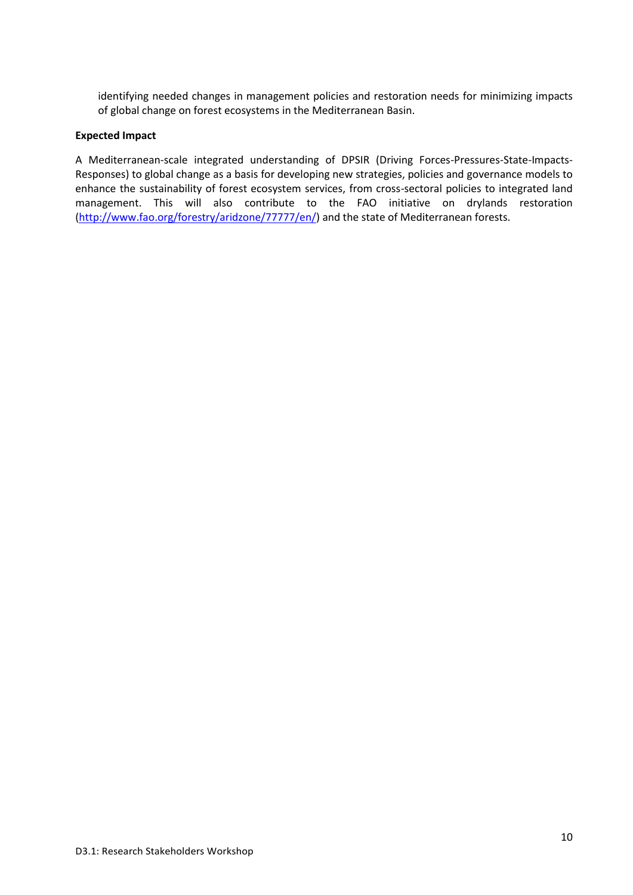identifying needed changes in management policies and restoration needs for minimizing impacts of global change on forest ecosystems in the Mediterranean Basin.

#### **Expected Impact**

A Mediterranean-scale integrated understanding of DPSIR (Driving Forces-Pressures-State-Impacts-Responses) to global change as a basis for developing new strategies, policies and governance models to enhance the sustainability of forest ecosystem services, from cross-sectoral policies to integrated land management. This will also contribute to the FAO initiative on drylands restoration [\(http://www.fao.org/forestry/aridzone/77777/en/\)](http://www.fao.org/forestry/aridzone/77777/en/) and the state of Mediterranean forests.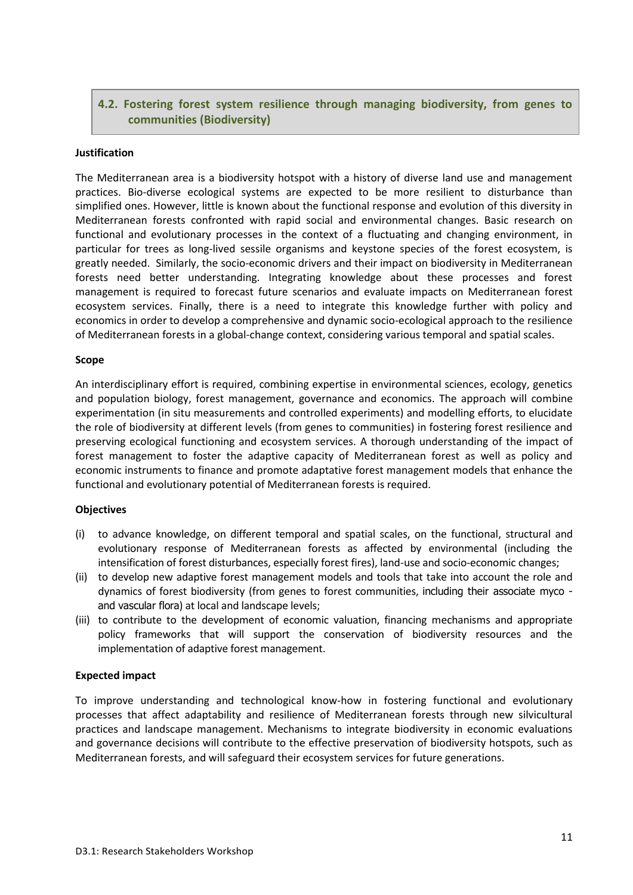## <span id="page-10-0"></span>**4.2. Fostering forest system resilience through managing biodiversity, from genes to communities (Biodiversity)**

#### **Justification**

The Mediterranean area is a biodiversity hotspot with a history of diverse land use and management practices. Bio-diverse ecological systems are expected to be more resilient to disturbance than simplified ones. However, little is known about the functional response and evolution of this diversity in Mediterranean forests confronted with rapid social and environmental changes. Basic research on functional and evolutionary processes in the context of a fluctuating and changing environment, in particular for trees as long-lived sessile organisms and keystone species of the forest ecosystem, is greatly needed. Similarly, the socio-economic drivers and their impact on biodiversity in Mediterranean forests need better understanding. Integrating knowledge about these processes and forest management is required to forecast future scenarios and evaluate impacts on Mediterranean forest ecosystem services. Finally, there is a need to integrate this knowledge further with policy and economics in order to develop a comprehensive and dynamic socio-ecological approach to the resilience of Mediterranean forests in a global-change context, considering various temporal and spatial scales.

#### **Scope**

An interdisciplinary effort is required, combining expertise in environmental sciences, ecology, genetics and population biology, forest management, governance and economics. The approach will combine experimentation (in situ measurements and controlled experiments) and modelling efforts, to elucidate the role of biodiversity at different levels (from genes to communities) in fostering forest resilience and preserving ecological functioning and ecosystem services. A thorough understanding of the impact of forest management to foster the adaptive capacity of Mediterranean forest as well as policy and economic instruments to finance and promote adaptative forest management models that enhance the functional and evolutionary potential of Mediterranean forests is required.

#### **Objectives**

- (i) to advance knowledge, on different temporal and spatial scales, on the functional, structural and evolutionary response of Mediterranean forests as affected by environmental (including the intensification of forest disturbances, especially forest fires), land-use and socio-economic changes;
- (ii) to develop new adaptive forest management models and tools that take into account the role and dynamics of forest biodiversity (from genes to forest communities, including their associate myco and vascular flora) at local and landscape levels;
- (iii) to contribute to the development of economic valuation, financing mechanisms and appropriate policy frameworks that will support the conservation of biodiversity resources and the implementation of adaptive forest management.

#### **Expected impact**

To improve understanding and technological know-how in fostering functional and evolutionary processes that affect adaptability and resilience of Mediterranean forests through new silvicultural practices and landscape management. Mechanisms to integrate biodiversity in economic evaluations and governance decisions will contribute to the effective preservation of biodiversity hotspots, such as Mediterranean forests, and will safeguard their ecosystem services for future generations.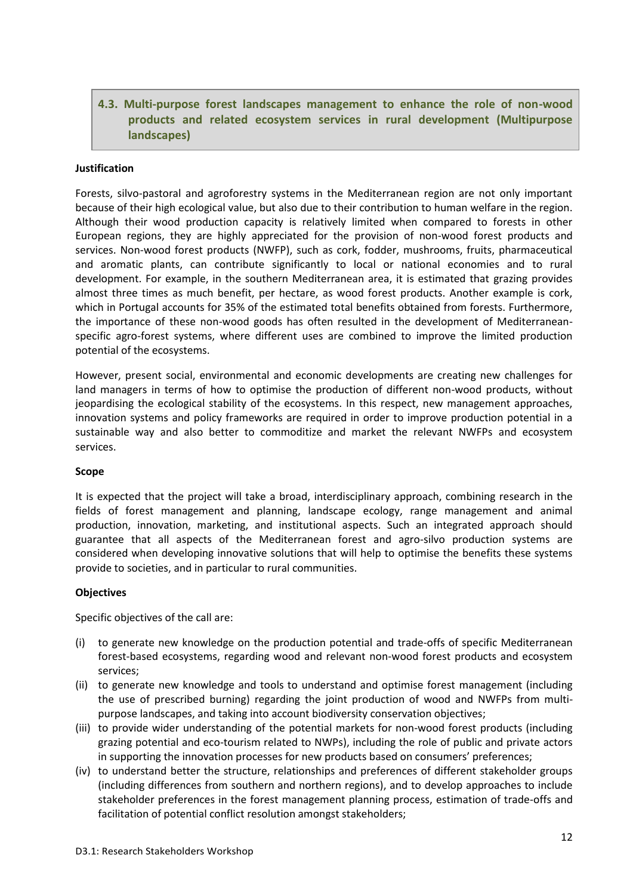## <span id="page-11-0"></span>**4.3. Multi-purpose forest landscapes management to enhance the role of non-wood products and related ecosystem services in rural development (Multipurpose landscapes)**

#### **Justification**

Forests, silvo-pastoral and agroforestry systems in the Mediterranean region are not only important because of their high ecological value, but also due to their contribution to human welfare in the region. Although their wood production capacity is relatively limited when compared to forests in other European regions, they are highly appreciated for the provision of non-wood forest products and services. Non-wood forest products (NWFP), such as cork, fodder, mushrooms, fruits, pharmaceutical and aromatic plants, can contribute significantly to local or national economies and to rural development. For example, in the southern Mediterranean area, it is estimated that grazing provides almost three times as much benefit, per hectare, as wood forest products. Another example is cork, which in Portugal accounts for 35% of the estimated total benefits obtained from forests. Furthermore, the importance of these non-wood goods has often resulted in the development of Mediterraneanspecific agro-forest systems, where different uses are combined to improve the limited production potential of the ecosystems.

However, present social, environmental and economic developments are creating new challenges for land managers in terms of how to optimise the production of different non-wood products, without jeopardising the ecological stability of the ecosystems. In this respect, new management approaches, innovation systems and policy frameworks are required in order to improve production potential in a sustainable way and also better to commoditize and market the relevant NWFPs and ecosystem services.

#### **Scope**

It is expected that the project will take a broad, interdisciplinary approach, combining research in the fields of forest management and planning, landscape ecology, range management and animal production, innovation, marketing, and institutional aspects. Such an integrated approach should guarantee that all aspects of the Mediterranean forest and agro-silvo production systems are considered when developing innovative solutions that will help to optimise the benefits these systems provide to societies, and in particular to rural communities.

#### **Objectives**

Specific objectives of the call are:

- (i) to generate new knowledge on the production potential and trade-offs of specific Mediterranean forest-based ecosystems, regarding wood and relevant non-wood forest products and ecosystem services;
- (ii) to generate new knowledge and tools to understand and optimise forest management (including the use of prescribed burning) regarding the joint production of wood and NWFPs from multipurpose landscapes, and taking into account biodiversity conservation objectives;
- (iii) to provide wider understanding of the potential markets for non-wood forest products (including grazing potential and eco-tourism related to NWPs), including the role of public and private actors in supporting the innovation processes for new products based on consumers' preferences;
- (iv) to understand better the structure, relationships and preferences of different stakeholder groups (including differences from southern and northern regions), and to develop approaches to include stakeholder preferences in the forest management planning process, estimation of trade-offs and facilitation of potential conflict resolution amongst stakeholders;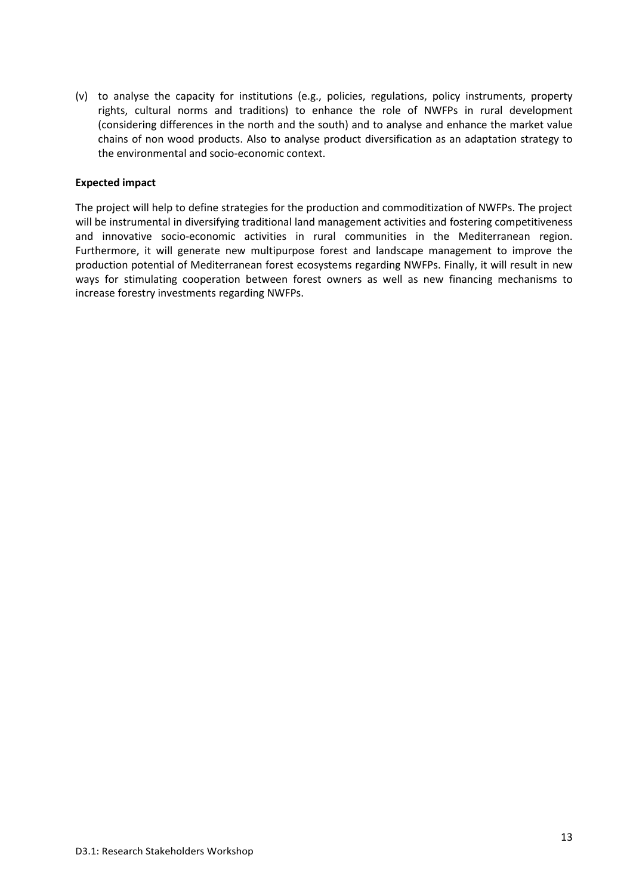(v) to analyse the capacity for institutions (e.g., policies, regulations, policy instruments, property rights, cultural norms and traditions) to enhance the role of NWFPs in rural development (considering differences in the north and the south) and to analyse and enhance the market value chains of non wood products. Also to analyse product diversification as an adaptation strategy to the environmental and socio-economic context.

#### **Expected impact**

The project will help to define strategies for the production and commoditization of NWFPs. The project will be instrumental in diversifying traditional land management activities and fostering competitiveness and innovative socio-economic activities in rural communities in the Mediterranean region. Furthermore, it will generate new multipurpose forest and landscape management to improve the production potential of Mediterranean forest ecosystems regarding NWFPs. Finally, it will result in new ways for stimulating cooperation between forest owners as well as new financing mechanisms to increase forestry investments regarding NWFPs.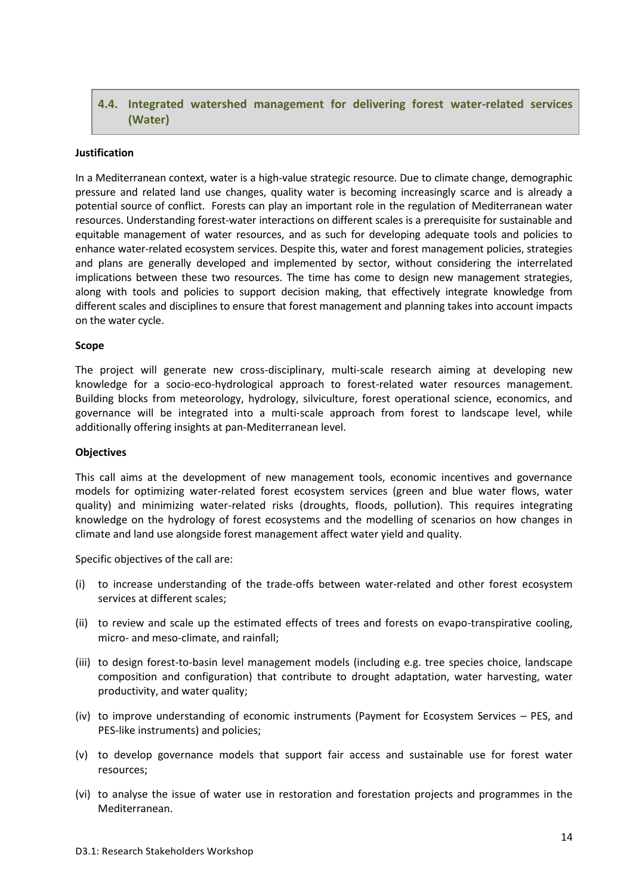## <span id="page-13-0"></span>**4.4. Integrated watershed management for delivering forest water-related services (Water)**

#### **Justification**

In a Mediterranean context, water is a high-value strategic resource. Due to climate change, demographic pressure and related land use changes, quality water is becoming increasingly scarce and is already a potential source of conflict. Forests can play an important role in the regulation of Mediterranean water resources. Understanding forest-water interactions on different scales is a prerequisite for sustainable and equitable management of water resources, and as such for developing adequate tools and policies to enhance water-related ecosystem services. Despite this, water and forest management policies, strategies and plans are generally developed and implemented by sector, without considering the interrelated implications between these two resources. The time has come to design new management strategies, along with tools and policies to support decision making, that effectively integrate knowledge from different scales and disciplines to ensure that forest management and planning takes into account impacts on the water cycle.

#### **Scope**

The project will generate new cross-disciplinary, multi-scale research aiming at developing new knowledge for a socio-eco-hydrological approach to forest-related water resources management. Building blocks from meteorology, hydrology, silviculture, forest operational science, economics, and governance will be integrated into a multi-scale approach from forest to landscape level, while additionally offering insights at pan-Mediterranean level.

#### **Objectives**

This call aims at the development of new management tools, economic incentives and governance models for optimizing water-related forest ecosystem services (green and blue water flows, water quality) and minimizing water-related risks (droughts, floods, pollution). This requires integrating knowledge on the hydrology of forest ecosystems and the modelling of scenarios on how changes in climate and land use alongside forest management affect water yield and quality.

Specific objectives of the call are:

- (i) to increase understanding of the trade-offs between water-related and other forest ecosystem services at different scales;
- (ii) to review and scale up the estimated effects of trees and forests on evapo-transpirative cooling, micro- and meso-climate, and rainfall;
- (iii) to design forest-to-basin level management models (including e.g. tree species choice, landscape composition and configuration) that contribute to drought adaptation, water harvesting, water productivity, and water quality;
- (iv) to improve understanding of economic instruments (Payment for Ecosystem Services PES, and PES-like instruments) and policies;
- (v) to develop governance models that support fair access and sustainable use for forest water resources;
- (vi) to analyse the issue of water use in restoration and forestation projects and programmes in the Mediterranean.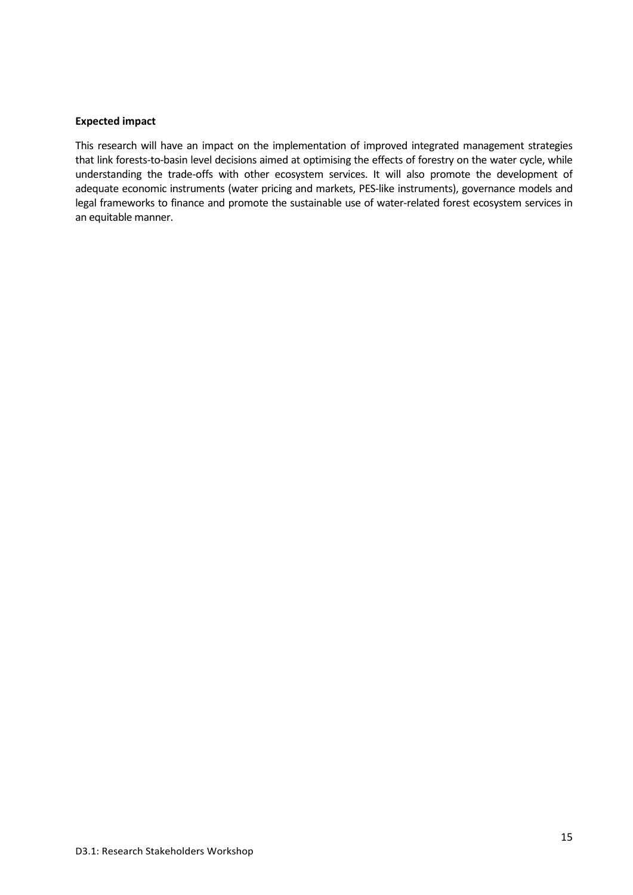#### **Expected impact**

This research will have an impact on the implementation of improved integrated management strategies that link forests-to-basin level decisions aimed at optimising the effects of forestry on the water cycle, while understanding the trade-offs with other ecosystem services. It will also promote the development of adequate economic instruments (water pricing and markets, PES-like instruments), governance models and legal frameworks to finance and promote the sustainable use of water-related forest ecosystem services in an equitable manner.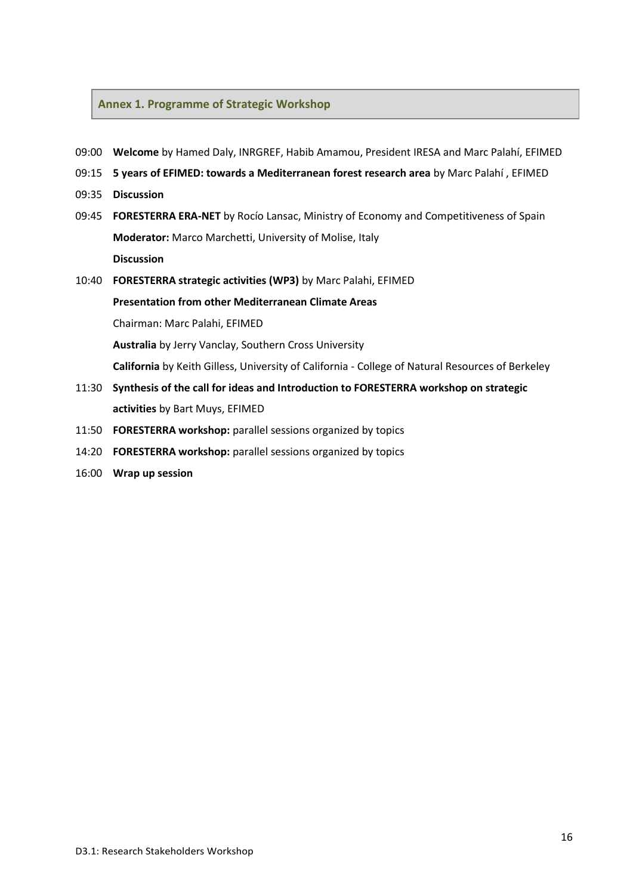#### <span id="page-15-0"></span>**Annex 1. Programme of Strategic Workshop**

- 09:00 **Welcome** by Hamed Daly, INRGREF, Habib Amamou, President IRESA and Marc Palahí, EFIMED
- 09:15 **5 years of EFIMED: towards a Mediterranean forest research area** by Marc Palahí , EFIMED
- 09:35 **Discussion**
- 09:45 **FORESTERRA ERA‐NET** by Rocío Lansac, Ministry of Economy and Competitiveness of Spain **Moderator:** Marco Marchetti, University of Molise, Italy **Discussion**
- 10:40 **FORESTERRA strategic activities (WP3)** by Marc Palahi, EFIMED **Presentation from other Mediterranean Climate Areas**

Chairman: Marc Palahi, EFIMED

**Australia** by Jerry Vanclay, Southern Cross University

**California** by Keith Gilless, University of California ‐ College of Natural Resources of Berkeley

- 11:30 **Synthesis of the call for ideas and Introduction to FORESTERRA workshop on strategic activities** by Bart Muys, EFIMED
- 11:50 **FORESTERRA workshop:** parallel sessions organized by topics
- 14:20 **FORESTERRA workshop:** parallel sessions organized by topics
- 16:00 **Wrap up session**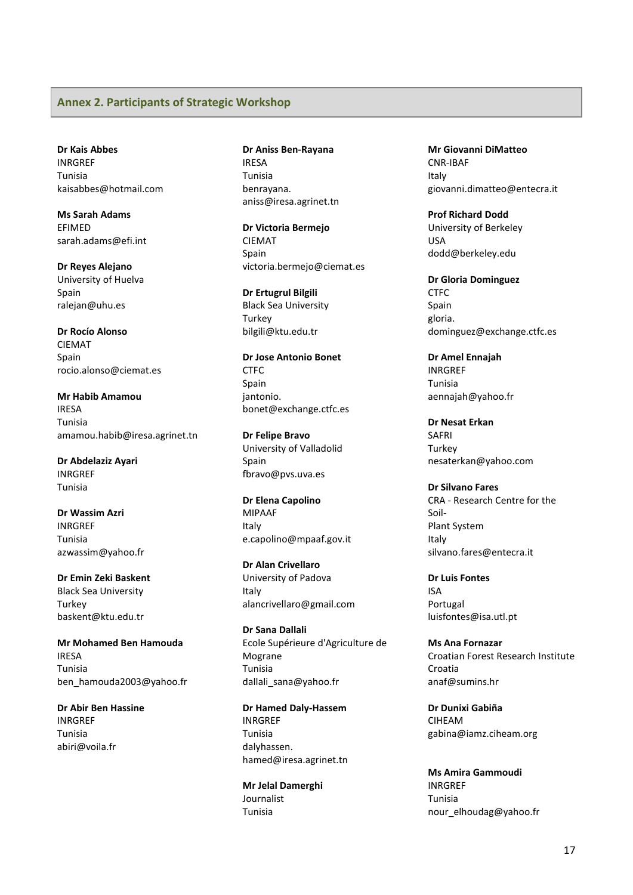#### <span id="page-16-0"></span>**Annex 2. Participants of Strategic Workshop**

**Dr Kais Abbes** INRGREF Tunisia kaisabbes@hotmail.com

**Ms Sarah Adams** EFIMED sarah.adams@efi.int

**Dr Reyes Alejano** University of Huelva Spain ralejan@uhu.es

**Dr Rocío Alonso** CIEMAT Spain rocio.alonso@ciemat.es

**Mr Habib Amamou** IRESA Tunisia amamou.habib@iresa.agrinet.tn

**Dr Abdelaziz Ayari** INRGREF Tunisia

**Dr Wassim Azri** INRGREF Tunisia azwassim@yahoo.fr

**Dr Emin Zeki Baskent** Black Sea University **Turkey** baskent@ktu.edu.tr

**Mr Mohamed Ben Hamouda** IRESA Tunisia ben\_hamouda2003@yahoo.fr

**Dr Abir Ben Hassine** INRGREF Tunisia abiri@voila.fr

**Dr Aniss Ben‐Rayana** IRESA Tunisia benrayana. aniss@iresa.agrinet.tn

**Dr Victoria Bermejo** CIEMAT Spain victoria.bermejo@ciemat.es

**Dr Ertugrul Bilgili** Black Sea University **Turkey** bilgili@ktu.edu.tr

**Dr Jose Antonio Bonet** CTFC Spain jantonio. bonet@exchange.ctfc.es

**Dr Felipe Bravo** University of Valladolid Spain fbravo@pvs.uva.es

**Dr Elena Capolino** MIPAAF Italy e.capolino@mpaaf.gov.it

**Dr Alan Crivellaro** University of Padova Italy alancrivellaro@gmail.com

**Dr Sana Dallali** Ecole Supérieure d'Agriculture de Mograne Tunisia dallali\_sana@yahoo.fr

**Dr Hamed Daly‐Hassem** INRGREF Tunisia dalyhassen. hamed@iresa.agrinet.tn

**Mr Jelal Damerghi** Journalist Tunisia

**Mr Giovanni DiMatteo** CNR‐IBAF Italy giovanni.dimatteo@entecra.it

**Prof Richard Dodd** University of Berkeley USA dodd@berkeley.edu

**Dr Gloria Dominguez CTFC** Spain gloria. dominguez@exchange.ctfc.es

**Dr Amel Ennajah** INRGREF Tunisia aennajah@yahoo.fr

**Dr Nesat Erkan** SAFRI **Turkey** nesaterkan@yahoo.com

**Dr Silvano Fares** CRA ‐ Research Centre for the Soil‐ Plant System Italy silvano.fares@entecra.it

**Dr Luis Fontes** ISA Portugal luisfontes@isa.utl.pt

**Ms Ana Fornazar** Croatian Forest Research Institute Croatia anaf@sumins.hr

**Dr Dunixi Gabiña** CIHEAM gabina@iamz.ciheam.org

**Ms Amira Gammoudi** INRGREF Tunisia nour\_elhoudag@yahoo.fr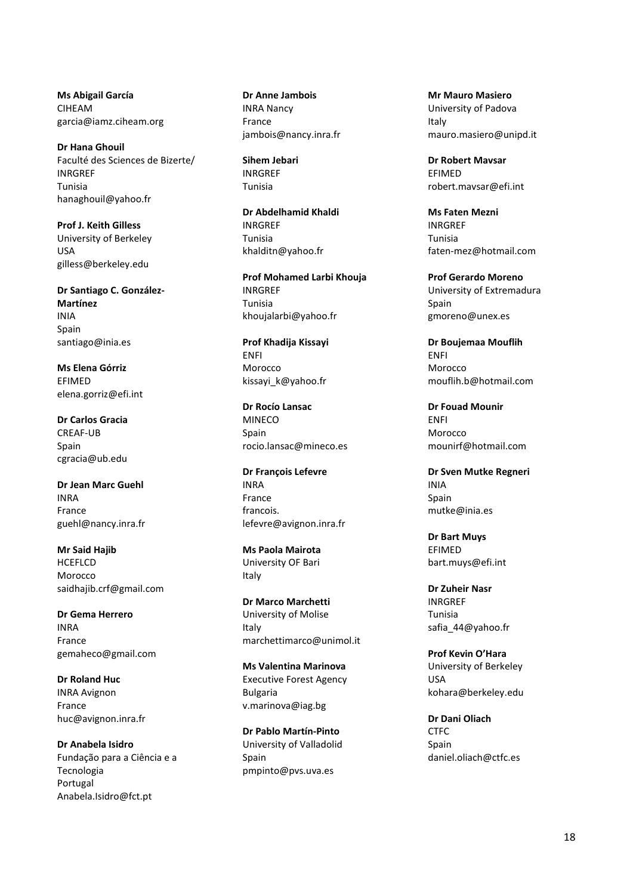**Ms Abigail García** CIHEAM garcia@iamz.ciheam.org

**Dr Hana Ghouil** Faculté des Sciences de Bizerte/ INRGREF Tunisia hanaghouil@yahoo.fr

**Prof J. Keith Gilless** University of Berkeley USA gilless@berkeley.edu

**Dr Santiago C. González‐ Martínez** INIA Spain santiago@inia.es

**Ms Elena Górriz EFIMED** elena.gorriz@efi.int

**Dr Carlos Gracia** CREAF‐UB Spain cgracia@ub.edu

**Dr Jean Marc Guehl** INRA France guehl@nancy.inra.fr

**Mr Said Hajib HCEFLCD** Morocco saidhajib.crf@gmail.com

**Dr Gema Herrero** INRA France gemaheco@gmail.com

**Dr Roland Huc** INRA Avignon France huc@avignon.inra.fr

**Dr Anabela Isidro** Fundação para a Ciência e a Tecnologia Portugal [Anabela.Isidro@fct.pt](mailto:Anabela.Isidro@fct.pt)

**Dr Anne Jambois** INRA Nancy France jambois@nancy.inra.fr

**Sihem Jebari** INRGREF Tunisia

**Dr Abdelhamid Khaldi** INRGREF Tunisia khalditn@yahoo.fr

**Prof Mohamed Larbi Khouja** INRGREF Tunisia khoujalarbi@yahoo.fr

**Prof Khadija Kissayi** ENFI Morocco kissayi\_k@yahoo.fr

**Dr Rocío Lansac** MINECO Spain rocio.lansac@mineco.es

**Dr François Lefevre** INRA France francois. lefevre@avignon.inra.fr

**Ms Paola Mairota** University OF Bari Italy

**Dr Marco Marchetti** University of Molise Italy marchettimarco@unimol.it

**Ms Valentina Marinova** Executive Forest Agency Bulgaria v.marinova@iag.bg

**Dr Pablo Martín‐Pinto** University of Valladolid Spain pmpinto@pvs.uva.es

**Mr Mauro Masiero** University of Padova Italy mauro.masiero@unipd.it

**Dr Robert Mavsar** EFIMED robert.mavsar@efi.int

**Ms Faten Mezni** INRGREF Tunisia faten‐mez@hotmail.com

**Prof Gerardo Moreno** University of Extremadura Spain gmoreno@unex.es

**Dr Boujemaa Mouflih** ENFI Morocco mouflih.b@hotmail.com

**Dr Fouad Mounir** ENFI Morocco mounirf@hotmail.com

**Dr Sven Mutke Regneri** INIA Spain mutke@inia.es

**Dr Bart Muys** EFIMED bart.muys@efi.int

**Dr Zuheir Nasr** INRGREF Tunisia safia\_44@yahoo.fr

**Prof Kevin O'Hara** University of Berkeley USA kohara@berkeley.edu

**Dr Dani Oliach CTFC** Spain daniel.oliach@ctfc.es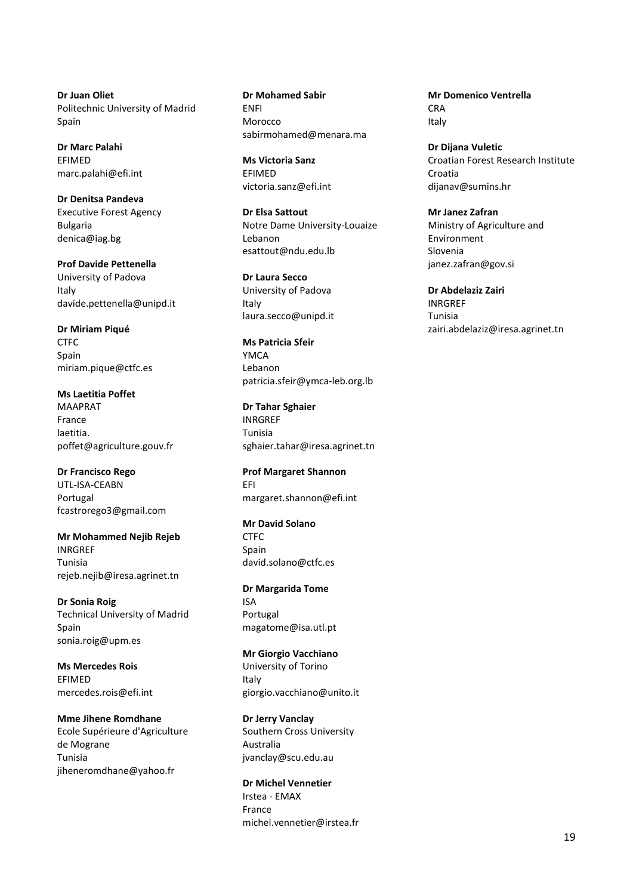**Dr Juan Oliet** Politechnic University of Madrid Spain

**Dr Marc Palahi** EFIMED marc.palahi@efi.int

**Dr Denitsa Pandeva** Executive Forest Agency Bulgaria denica@iag.bg

**Prof Davide Pettenella** University of Padova Italy davide.pettenella@unipd.it

**Dr Miriam Piqué CTFC** Spain miriam.pique@ctfc.es

**Ms Laetitia Poffet** MAAPRAT France laetitia. poffet@agriculture.gouv.fr

**Dr Francisco Rego** UTL‐ISA‐CEABN Portugal fcastrorego3@gmail.com

**Mr Mohammed Nejib Rejeb** INRGREF Tunisia rejeb.nejib@iresa.agrinet.tn

**Dr Sonia Roig** Technical University of Madrid Spain sonia.roig@upm.es

**Ms Mercedes Rois** EFIMED mercedes.rois@efi.int

**Mme Jihene Romdhane** Ecole Supérieure d'Agriculture de Mograne Tunisia jiheneromdhane@yahoo.fr

**Dr Mohamed Sabir** ENFI Morocco sabirmohamed@menara.ma

**Ms Victoria Sanz** EFIMED victoria.sanz@efi.int

**Dr Elsa Sattout** Notre Dame University‐Louaize Lebanon esattout@ndu.edu.lb

**Dr Laura Secco** University of Padova Italy laura.secco@unipd.it

**Ms Patricia Sfeir** YMCA Lebanon patricia.sfeir@ymca‐leb.org.lb

**Dr Tahar Sghaier** INRGREF Tunisia sghaier.tahar@iresa.agrinet.tn

**Prof Margaret Shannon** EFI margaret.shannon@efi.int

**Mr David Solano** CTFC Spain david.solano@ctfc.es

**Dr Margarida Tome** ISA Portugal magatome@isa.utl.pt

**Mr Giorgio Vacchiano** University of Torino Italy giorgio.vacchiano@unito.it

**Dr Jerry Vanclay** Southern Cross University Australia jvanclay@scu.edu.au

**Dr Michel Vennetier** Irstea ‐ EMAX France michel.vennetier@irstea.fr **Mr Domenico Ventrella CRA** Italy

**Dr Dijana Vuletic** Croatian Forest Research Institute Croatia dijanav@sumins.hr

**Mr Janez Zafran** Ministry of Agriculture and Environment Slovenia janez.zafran@gov.si

**Dr Abdelaziz Zairi** INRGREF Tunisia zairi.abdelaziz@iresa.agrinet.tn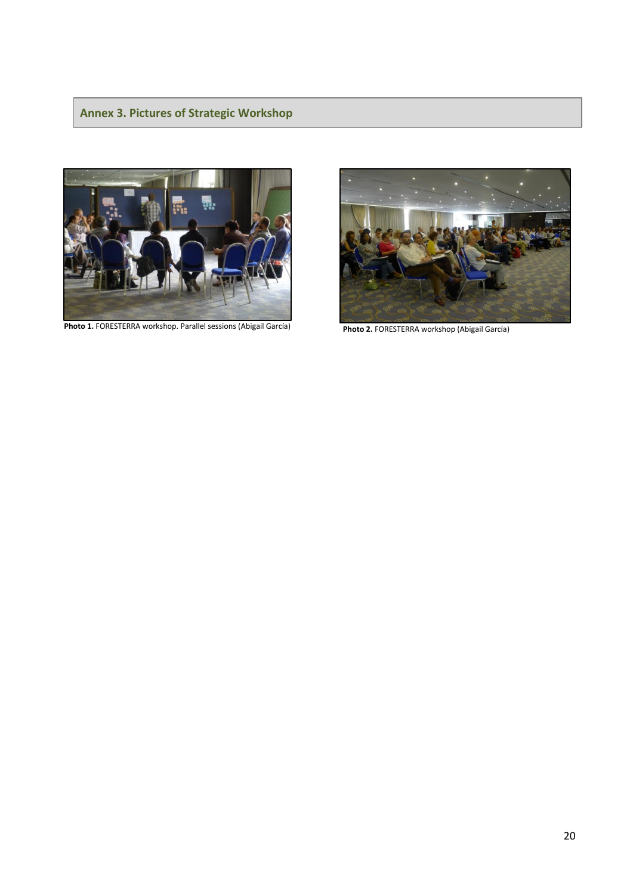# <span id="page-19-0"></span>**Annex 3. Pictures of Strategic Workshop**



**Photo 1.** FORESTERRA workshop. Parallel sessions (Abigail García)



 **Photo 2.** FORESTERRA workshop (Abigail García)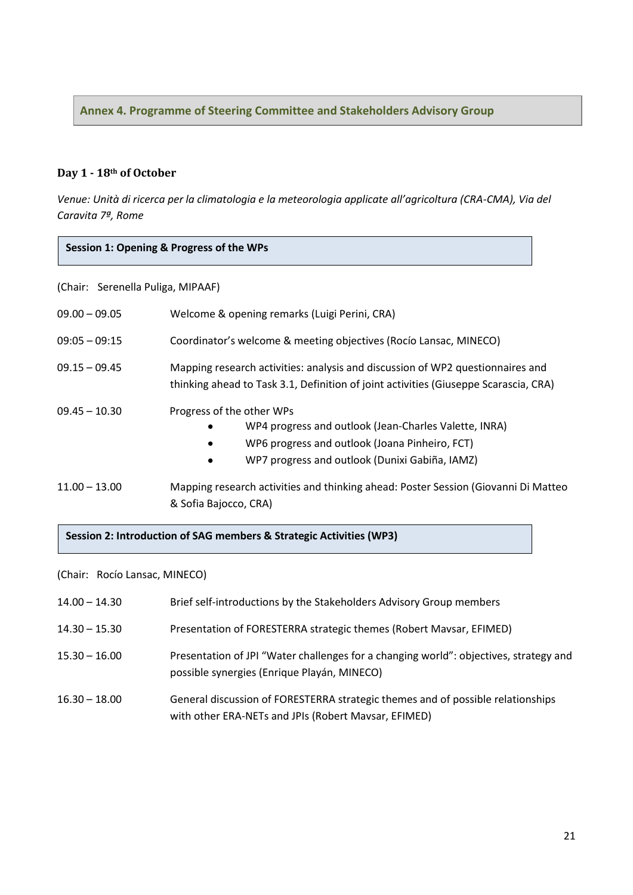<span id="page-20-0"></span>**Annex 4. Programme of Steering Committee and Stakeholders Advisory Group**

## **Day 1 - 18th of October**

*Venue: Unità di ricerca per la climatologia e la meteorologia applicate all'agricoltura (CRA-CMA), Via del Caravita 7ª, Rome*

#### **Session 1: Opening & Progress of the WPs**

(Chair: Serenella Puliga, MIPAAF)

| $09.00 - 09.05$ | Welcome & opening remarks (Luigi Perini, CRA)                                                                                                                                                                 |  |  |
|-----------------|---------------------------------------------------------------------------------------------------------------------------------------------------------------------------------------------------------------|--|--|
| $09:05 - 09:15$ | Coordinator's welcome & meeting objectives (Rocio Lansac, MINECO)                                                                                                                                             |  |  |
| $09.15 - 09.45$ | Mapping research activities: analysis and discussion of WP2 questionnaires and<br>thinking ahead to Task 3.1, Definition of joint activities (Giuseppe Scarascia, CRA)                                        |  |  |
| $09.45 - 10.30$ | Progress of the other WPs<br>WP4 progress and outlook (Jean-Charles Valette, INRA)<br>٠<br>WP6 progress and outlook (Joana Pinheiro, FCT)<br>٠<br>WP7 progress and outlook (Dunixi Gabiña, IAMZ)<br>$\bullet$ |  |  |
| $11.00 - 13.00$ | Mapping research activities and thinking ahead: Poster Session (Giovanni Di Matteo)<br>& Sofia Bajocco, CRA)                                                                                                  |  |  |

#### **Session 2: Introduction of SAG members & Strategic Activities (WP3)**

(Chair: Rocío Lansac, MINECO)

| $14.00 - 14.30$ | Brief self-introductions by the Stakeholders Advisory Group members                                                                     |
|-----------------|-----------------------------------------------------------------------------------------------------------------------------------------|
| $14.30 - 15.30$ | Presentation of FORESTERRA strategic themes (Robert Mavsar, EFIMED)                                                                     |
| $15.30 - 16.00$ | Presentation of JPI "Water challenges for a changing world": objectives, strategy and<br>possible synergies (Enrique Playán, MINECO)    |
| $16.30 - 18.00$ | General discussion of FORESTERRA strategic themes and of possible relationships<br>with other ERA-NETs and JPIs (Robert Mavsar, EFIMED) |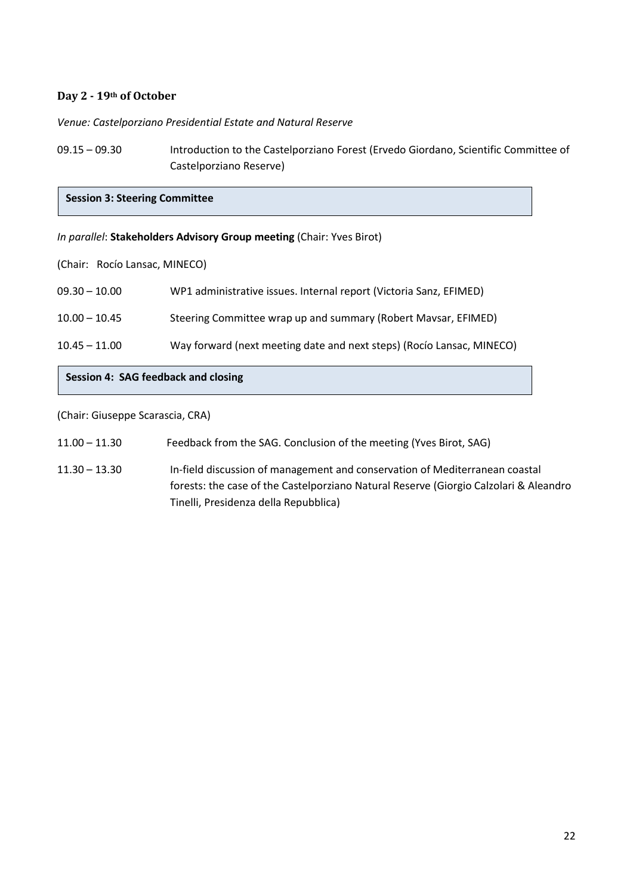## **Day 2 - 19th of October**

*Venue: Castelporziano Presidential Estate and Natural Reserve*

09.15 – 09.30 Introduction to the Castelporziano Forest (Ervedo Giordano, Scientific Committee of Castelporziano Reserve)

**Session 3: Steering Committee** 

#### *In parallel*: **Stakeholders Advisory Group meeting** (Chair: Yves Birot)

(Chair: Rocío Lansac, MINECO)

| $10.45 - 11.00$ | Way forward (next meeting date and next steps) (Rocio Lansac, MINECO) |
|-----------------|-----------------------------------------------------------------------|
| $10.00 - 10.45$ | Steering Committee wrap up and summary (Robert Maysar, EFIMED)        |
| $09.30 - 10.00$ | WP1 administrative issues. Internal report (Victoria Sanz, EFIMED)    |

## **Session 4: SAG feedback and closing**

(Chair: Giuseppe Scarascia, CRA)

| $11.00 - 11.30$ | Feedback from the SAG. Conclusion of the meeting (Yves Birot, SAG) |
|-----------------|--------------------------------------------------------------------|
|-----------------|--------------------------------------------------------------------|

11.30 – 13.30 In-field discussion of management and conservation of Mediterranean coastal forests: the case of the Castelporziano Natural Reserve (Giorgio Calzolari & Aleandro Tinelli, Presidenza della Repubblica)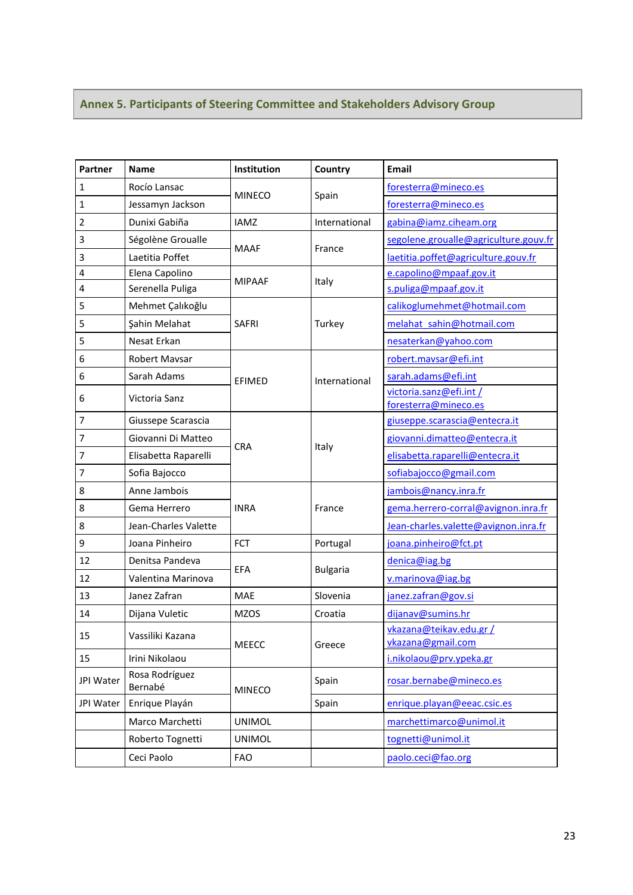# <span id="page-22-0"></span>**Annex 5. Participants of Steering Committee and Stakeholders Advisory Group**

| Partner        | <b>Name</b>               | Institution   | Country         | <b>Email</b>                                 |
|----------------|---------------------------|---------------|-----------------|----------------------------------------------|
| $\mathbf 1$    | Rocío Lansac              |               |                 | foresterra@mineco.es                         |
| $\mathbf{1}$   | Jessamyn Jackson          | <b>MINECO</b> | Spain           | foresterra@mineco.es                         |
| $\overline{2}$ | Dunixi Gabiña             | <b>IAMZ</b>   | International   | gabina@iamz.ciheam.org                       |
| 3              | Ségolène Groualle         |               |                 | segolene.groualle@agriculture.gouv.fr        |
| 3              | Laetitia Poffet           | <b>MAAF</b>   | France          | laetitia.poffet@agriculture.gouv.fr          |
| 4              | Elena Capolino            |               |                 | e.capolino@mpaaf.gov.it                      |
| 4              | Serenella Puliga          | <b>MIPAAF</b> | Italy           | s.puliga@mpaaf.gov.it                        |
| 5              | Mehmet Çalıkoğlu          |               | Turkey          | calikoglumehmet@hotmail.com                  |
| 5              | Şahin Melahat             | <b>SAFRI</b>  |                 | melahat sahin@hotmail.com                    |
| 5              | Nesat Erkan               |               |                 | nesaterkan@yahoo.com                         |
| 6              | Robert Mavsar             |               |                 | robert.mavsar@efi.int                        |
| 6              | Sarah Adams               | <b>EFIMED</b> | International   | sarah.adams@efi.int                          |
| 6              | Victoria Sanz             |               |                 | victoria.sanz@efi.int /                      |
|                |                           |               |                 | foresterra@mineco.es                         |
| 7              | Giussepe Scarascia        |               |                 | giuseppe.scarascia@entecra.it                |
| 7              | Giovanni Di Matteo        | <b>CRA</b>    | Italy           | giovanni.dimatteo@entecra.it                 |
| 7              | Elisabetta Raparelli      |               |                 | elisabetta.raparelli@entecra.it              |
| 7              | Sofia Bajocco             |               |                 | sofiabajocco@gmail.com                       |
| 8              | Anne Jambois              |               |                 | jambois@nancy.inra.fr                        |
| 8              | Gema Herrero              | <b>INRA</b>   | France          | gema.herrero-corral@avignon.inra.fr          |
| 8              | Jean-Charles Valette      |               |                 | Jean-charles.valette@avignon.inra.fr         |
| 9              | Joana Pinheiro            | <b>FCT</b>    | Portugal        | joana.pinheiro@fct.pt                        |
| 12             | Denitsa Pandeva           |               | <b>Bulgaria</b> | denica@iag.bg                                |
| 12             | Valentina Marinova        | EFA           |                 | v.marinova@iag.bg                            |
| 13             | Janez Zafran              | <b>MAE</b>    | Slovenia        | janez.zafran@gov.si                          |
| 14             | Dijana Vuletic            | <b>MZOS</b>   | Croatia         | dijanav@sumins.hr                            |
| 15             | Vassiliki Kazana          |               |                 | vkazana@teikav.edu.gr /<br>vkazana@gmail.com |
| 15             | Irini Nikolaou            | MEECC         | Greece          | i.nikolaou@prv.ypeka.gr                      |
| JPI Water      | Rosa Rodríguez<br>Bernabé | <b>MINECO</b> | Spain           | rosar.bernabe@mineco.es                      |
| JPI Water      | Enrique Playán            |               | Spain           | enrique.playan@eeac.csic.es                  |
|                | Marco Marchetti           | <b>UNIMOL</b> |                 | marchettimarco@unimol.it                     |
|                | Roberto Tognetti          | <b>UNIMOL</b> |                 | tognetti@unimol.it                           |
|                | Ceci Paolo                | <b>FAO</b>    |                 | paolo.ceci@fao.org                           |